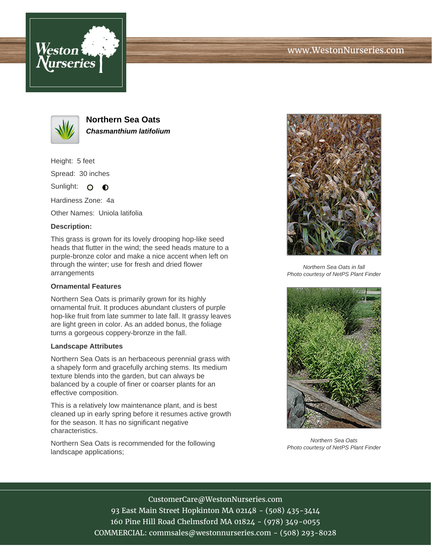





**Northern Sea Oats Chasmanthium latifolium**

Height: 5 feet Spread: 30 inches

Sunlight: O **O** 

Hardiness Zone: 4a

Other Names: Uniola latifolia

## **Description:**

This grass is grown for its lovely drooping hop-like seed heads that flutter in the wind; the seed heads mature to a purple-bronze color and make a nice accent when left on through the winter; use for fresh and dried flower arrangements

## **Ornamental Features**

Northern Sea Oats is primarily grown for its highly ornamental fruit. It produces abundant clusters of purple hop-like fruit from late summer to late fall. It grassy leaves are light green in color. As an added bonus, the foliage turns a gorgeous coppery-bronze in the fall.

## **Landscape Attributes**

Northern Sea Oats is an herbaceous perennial grass with a shapely form and gracefully arching stems. Its medium texture blends into the garden, but can always be balanced by a couple of finer or coarser plants for an effective composition.

This is a relatively low maintenance plant, and is best cleaned up in early spring before it resumes active growth for the season. It has no significant negative characteristics.

Northern Sea Oats is recommended for the following landscape applications;



Northern Sea Oats in fall Photo courtesy of NetPS Plant Finder



Northern Sea Oats Photo courtesy of NetPS Plant Finder

CustomerCare@WestonNurseries.com 93 East Main Street Hopkinton MA 02148 - (508) 435-3414 160 Pine Hill Road Chelmsford MA 01824 - (978) 349-0055 COMMERCIAL: commsales@westonnurseries.com - (508) 293-8028